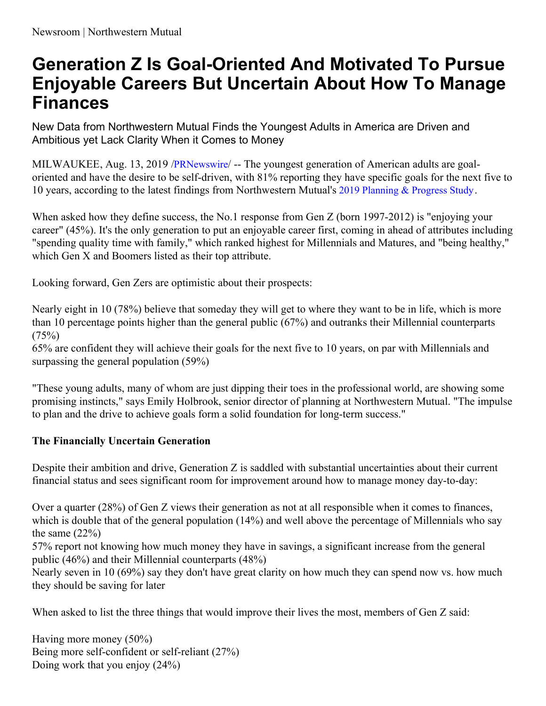## **Generation Z Is Goal-Oriented And Motivated To Pursue Enjoyable Careers But Uncertain About How To Manage Finances**

New Data from Northwestern Mutual Finds the Youngest Adults in America are Driven and Ambitious yet Lack Clarity When it Comes to Money

MILWAUKEE, Aug. 13, 2019 /[PRNewswire](http://www.prnewswire.com/)/ -- The youngest generation of American adults are goaloriented and have the desire to be self-driven, with 81% reporting they have specific goals for the next five to 10 years, according to the latest findings from Northwestern Mutual's 2019 [Planning](https://c212.net/c/link/?t=0&l=en&o=2549539-1&h=1197913239&u=https%3A%2F%2Fnews.northwesternmutual.com%2Fplanning-and-progress-2019&a=2019+Planning+%26+Progress+Study) & Progress Study.

When asked how they define success, the No.1 response from Gen Z (born 1997-2012) is "enjoying your career" (45%). It's the only generation to put an enjoyable career first, coming in ahead of attributes including "spending quality time with family," which ranked highest for Millennials and Matures, and "being healthy," which Gen X and Boomers listed as their top attribute.

Looking forward, Gen Zers are optimistic about their prospects:

Nearly eight in 10 (78%) believe that someday they will get to where they want to be in life, which is more than 10 percentage points higher than the general public (67%) and outranks their Millennial counterparts  $(75%)$ 

65% are confident they will achieve their goals for the next five to 10 years, on par with Millennials and surpassing the general population (59%)

"These young adults, many of whom are just dipping their toes in the professional world, are showing some promising instincts," says Emily Holbrook, senior director of planning at Northwestern Mutual. "The impulse to plan and the drive to achieve goals form a solid foundation for long-term success."

## **The Financially Uncertain Generation**

Despite their ambition and drive, Generation Z is saddled with substantial uncertainties about their current financial status and sees significant room for improvement around how to manage money day-to-day:

Over a quarter (28%) of Gen Z views their generation as not at all responsible when it comes to finances, which is double that of the general population (14%) and well above the percentage of Millennials who say the same  $(22%)$ 

57% report not knowing how much money they have in savings, a significant increase from the general public (46%) and their Millennial counterparts (48%)

Nearly seven in 10 (69%) say they don't have great clarity on how much they can spend now vs. how much they should be saving for later

When asked to list the three things that would improve their lives the most, members of Gen Z said:

Having more money (50%) Being more self-confident or self-reliant (27%) Doing work that you enjoy (24%)